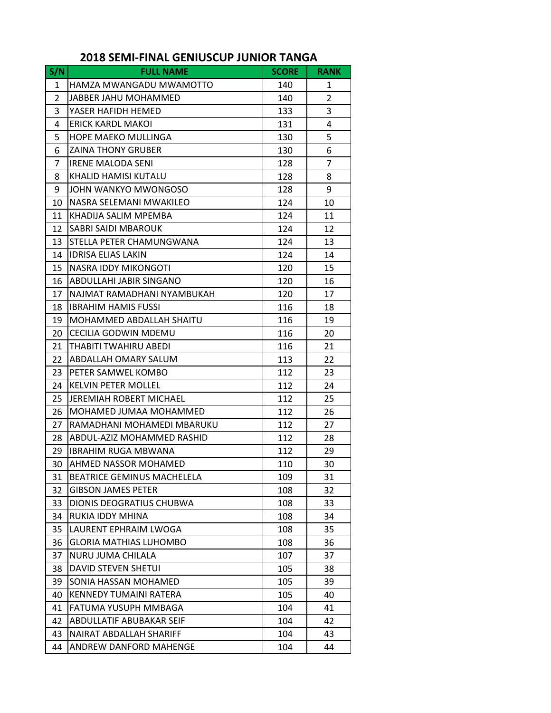| S/N            | <b>FULL NAME</b>                  | <b>SCORE</b> | <b>RANK</b>    |
|----------------|-----------------------------------|--------------|----------------|
| $\mathbf{1}$   | HAMZA MWANGADU MWAMOTTO           | 140          | 1              |
| $\overline{2}$ | JABBER JAHU MOHAMMED              | 140          | $\overline{2}$ |
| 3              | YASER HAFIDH HEMED                | 133          | 3              |
| 4              | ERICK KARDL MAKOL                 | 131          | 4              |
| 5              | <b>HOPE MAEKO MULLINGA</b>        | 130          | 5              |
| 6              | <b>ZAINA THONY GRUBER</b>         | 130          | 6              |
| 7              | <b>IRENE MALODA SENI</b>          | 128          | 7              |
| 8              | KHALID HAMISI KUTALU              | 128          | 8              |
| 9              | JOHN WANKYO MWONGOSO              | 128          | 9              |
| 10             | NASRA SELEMANI MWAKILEO           | 124          | 10             |
| 11             | KHADIJA SALIM MPEMBA              | 124          | 11             |
| 12             | SABRI SAIDI MBAROUK               | 124          | 12             |
| 13             | STELLA PETER CHAMUNGWANA          | 124          | 13             |
| 14             | <b>IDRISA ELIAS LAKIN</b>         | 124          | 14             |
| 15             | NASRA IDDY MIKONGOTI              | 120          | 15             |
| 16             | ABDULLAHI JABIR SINGANO           | 120          | 16             |
| 17             | NAJMAT RAMADHANI NYAMBUKAH        | 120          | 17             |
| 18             | <b>IBRAHIM HAMIS FUSSI</b>        | 116          | 18             |
| 19             | MOHAMMED ABDALLAH SHAITU          | 116          | 19             |
| 20             | CECILIA GODWIN MDEMU              | 116          | 20             |
| 21             | THABITI TWAHIRU ABEDI             | 116          | 21             |
| 22             | ABDALLAH OMARY SALUM              | 113          | 22             |
| 23             | PETER SAMWEL KOMBO                | 112          | 23             |
| 24             | <b>KELVIN PETER MOLLEL</b>        | 112          | 24             |
| 25             | <b>JEREMIAH ROBERT MICHAEL</b>    | 112          | 25             |
| 26             | MOHAMED JUMAA MOHAMMED            | 112          | 26             |
| 27             | RAMADHANI MOHAMEDI MBARUKU        | 112          | 27             |
| 28             | ABDUL-AZIZ MOHAMMED RASHID        | 112          | 28             |
| 29             | <b>IBRAHIM RUGA MBWANA</b>        | 112          | 29             |
| 30             | AHMED NASSOR MOHAMED              | 110          | 30             |
| 31             | <b>BEATRICE GEMINUS MACHELELA</b> | 109          | 31             |
| 32             | <b>GIBSON JAMES PETER</b>         | 108          | 32             |
| 33             | DIONIS DEOGRATIUS CHUBWA          | 108          | 33             |
| 34             | <b>RUKIA IDDY MHINA</b>           | 108          | 34             |
| 35             | LAURENT EPHRAIM LWOGA             | 108          | 35             |
| 36             | <b>GLORIA MATHIAS LUHOMBO</b>     | 108          | 36             |
| 37             | NURU JUMA CHILALA                 | 107          | 37             |
| 38             | DAVID STEVEN SHETUI               | 105          | 38             |
| 39             | SONIA HASSAN MOHAMED              | 105          | 39             |
| 40             | KENNEDY TUMAINI RATERA            | 105          | 40             |
| 41             | FATUMA YUSUPH MMBAGA              | 104          | 41             |
| 42             | ABDULLATIF ABUBAKAR SEIF          | 104          | 42             |
| 43             | NAIRAT ABDALLAH SHARIFF           | 104          | 43             |
| 44             | ANDREW DANFORD MAHENGE            | 104          | 44             |

## **2018 SEMI‐FINAL GENIUSCUP JUNIOR TANGA**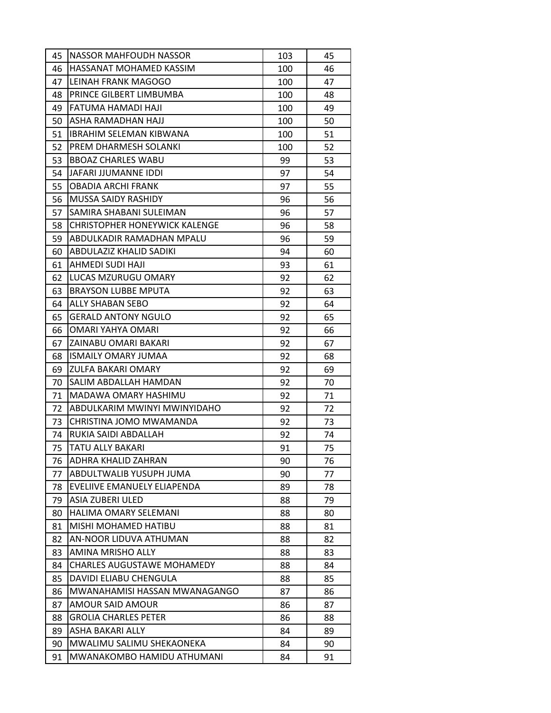| 45 | NASSOR MAHFOUDH NASSOR               | 103 | 45 |
|----|--------------------------------------|-----|----|
| 46 | HASSANAT MOHAMED KASSIM              | 100 | 46 |
| 47 | LEINAH FRANK MAGOGO                  | 100 | 47 |
| 48 | PRINCE GILBERT LIMBUMBA              | 100 | 48 |
| 49 | FATUMA HAMADI HAJI                   | 100 | 49 |
| 50 | ASHA RAMADHAN HAJJ                   | 100 | 50 |
| 51 | <b>IBRAHIM SELEMAN KIBWANA</b>       | 100 | 51 |
| 52 | PREM DHARMESH SOLANKI                | 100 | 52 |
| 53 | <b>BBOAZ CHARLES WABU</b>            | 99  | 53 |
| 54 | JAFARI JJUMANNE IDDI                 | 97  | 54 |
| 55 | <b>OBADIA ARCHI FRANK</b>            | 97  | 55 |
| 56 | <b>MUSSA SAIDY RASHIDY</b>           | 96  | 56 |
| 57 | SAMIRA SHABANI SULEIMAN              | 96  | 57 |
| 58 | <b>CHRISTOPHER HONEYWICK KALENGE</b> | 96  | 58 |
| 59 | ABDULKADIR RAMADHAN MPALU            | 96  | 59 |
| 60 | ABDULAZIZ KHALID SADIKI              | 94  | 60 |
| 61 | AHMEDI SUDI HAJI                     | 93  | 61 |
| 62 | LUCAS MZURUGU OMARY                  | 92  | 62 |
| 63 | <b>BRAYSON LUBBE MPUTA</b>           | 92  | 63 |
| 64 | ALLY SHABAN SEBO                     | 92  | 64 |
| 65 | <b>GERALD ANTONY NGULO</b>           | 92  | 65 |
| 66 | OMARI YAHYA OMARI                    | 92  | 66 |
| 67 | ZAINABU OMARI BAKARI                 | 92  | 67 |
| 68 | <b>ISMAILY OMARY JUMAA</b>           | 92  | 68 |
| 69 | ZULFA BAKARI OMARY                   | 92  | 69 |
| 70 | SALIM ABDALLAH HAMDAN                | 92  | 70 |
| 71 | MADAWA OMARY HASHIMU                 | 92  | 71 |
| 72 | ABDULKARIM MWINYI MWINYIDAHO         | 92  | 72 |
| 73 | CHRISTINA JOMO MWAMANDA              | 92  | 73 |
| 74 | RUKIA SAIDI ABDALLAH                 | 92  | 74 |
| 75 | <b>TATU ALLY BAKARI</b>              | 91  | 75 |
| 76 | ADHRA KHALID ZAHRAN                  | 90  | 76 |
| 77 | ABDULTWALIB YUSUPH JUMA              | 90  | 77 |
| 78 | EVELIIVE EMANUELY ELIAPENDA          | 89  | 78 |
| 79 | ASIA ZUBERI ULED                     | 88  | 79 |
| 80 | HALIMA OMARY SELEMANI                | 88  | 80 |
| 81 | MISHI MOHAMED HATIBU                 | 88  | 81 |
| 82 | AN-NOOR LIDUVA ATHUMAN               | 88  | 82 |
| 83 | AMINA MRISHO ALLY                    | 88  | 83 |
| 84 | <b>CHARLES AUGUSTAWE MOHAMEDY</b>    | 88  | 84 |
| 85 | DAVIDI ELIABU CHENGULA               | 88  | 85 |
| 86 | MWANAHAMISI HASSAN MWANAGANGO        | 87  | 86 |
| 87 | AMOUR SAID AMOUR                     | 86  | 87 |
| 88 | <b>GROLIA CHARLES PETER</b>          | 86  | 88 |
| 89 | ASHA BAKARI ALLY                     | 84  | 89 |
| 90 | MWALIMU SALIMU SHEKAONEKA            | 84  | 90 |
| 91 | MWANAKOMBO HAMIDU ATHUMANI           | 84  | 91 |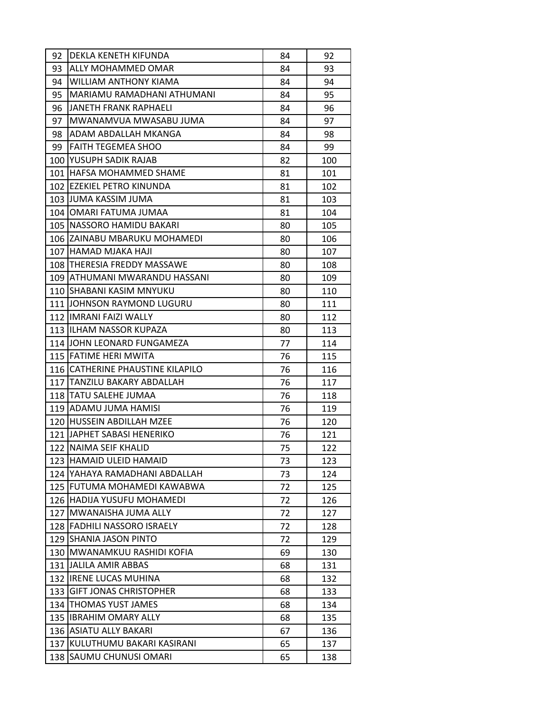| 92  | DEKLA KENETH KIFUNDA             | 84 | 92  |
|-----|----------------------------------|----|-----|
| 93  | ALLY MOHAMMED OMAR               | 84 | 93  |
| 94  | WILLIAM ANTHONY KIAMA            | 84 | 94  |
| 95  | MARIAMU RAMADHANI ATHUMANI       | 84 | 95  |
| 96  | <b>JANETH FRANK RAPHAELI</b>     | 84 | 96  |
| 97  | MWANAMVUA MWASABU JUMA           | 84 | 97  |
| 98  | ADAM ABDALLAH MKANGA             | 84 | 98  |
| 99  | <b>FAITH TEGEMEA SHOO</b>        | 84 | 99  |
|     | 100 YUSUPH SADIK RAJAB           | 82 | 100 |
|     | 101 HAFSA MOHAMMED SHAME         | 81 | 101 |
|     | 102 EZEKIEL PETRO KINUNDA        | 81 | 102 |
|     | 103 JUMA KASSIM JUMA             | 81 | 103 |
|     | 104 OMARI FATUMA JUMAA           | 81 | 104 |
|     | 105   NASSORO HAMIDU BAKARI      | 80 | 105 |
|     | 106 ZAINABU MBARUKU MOHAMEDI     | 80 | 106 |
|     | 107 HAMAD MJAKA HAJI             | 80 | 107 |
|     | 108   THERESIA FREDDY MASSAWE    | 80 | 108 |
|     | 109   ATHUMANI MWARANDU HASSANI  | 80 | 109 |
|     | 110 SHABANI KASIM MNYUKU         | 80 | 110 |
|     | 111 JOHNSON RAYMOND LUGURU       | 80 | 111 |
|     | 112 IMRANI FAIZI WALLY           | 80 | 112 |
|     | 113 ILHAM NASSOR KUPAZA          | 80 | 113 |
|     | 114 JOHN LEONARD FUNGAMEZA       | 77 | 114 |
|     | 115 FATIME HERI MWITA            | 76 | 115 |
|     | 116 CATHERINE PHAUSTINE KILAPILO | 76 | 116 |
|     | 117 TANZILU BAKARY ABDALLAH      | 76 | 117 |
|     | 118   TATU SALEHE JUMAA          | 76 | 118 |
|     | 119 ADAMU JUMA HAMISI            | 76 | 119 |
|     | 120 HUSSEIN ABDILLAH MZEE        | 76 | 120 |
|     | 121 JAPHET SABASI HENERIKO       | 76 | 121 |
|     | 122 NAIMA SEIF KHALID            | 75 | 122 |
|     | 123 HAMAID ULEID HAMAID          | 73 | 123 |
|     | 124 YAHAYA RAMADHANI ABDALLAH    | 73 | 124 |
|     | 125 FUTUMA MOHAMEDI KAWABWA      | 72 | 125 |
|     | 126 HADIJA YUSUFU MOHAMEDI       | 72 | 126 |
|     | 127 MWANAISHA JUMA ALLY          | 72 | 127 |
|     | 128 FADHILI NASSORO ISRAELY      | 72 | 128 |
|     | 129 SHANIA JASON PINTO           | 72 | 129 |
|     | 130   MWANAMKUU RASHIDI KOFIA    | 69 | 130 |
| 131 | JALILA AMIR ABBAS                | 68 | 131 |
|     | 132   IRENE LUCAS MUHINA         | 68 | 132 |
| 133 | GIFT JONAS CHRISTOPHER           | 68 | 133 |
| 134 | <b>THOMAS YUST JAMES</b>         | 68 | 134 |
| 135 | <b>IBRAHIM OMARY ALLY</b>        | 68 | 135 |
|     | 136 ASIATU ALLY BAKARI           | 67 | 136 |
| 137 | KULUTHUMU BAKARI KASIRANI        | 65 | 137 |
|     | 138 SAUMU CHUNUSI OMARI          | 65 | 138 |